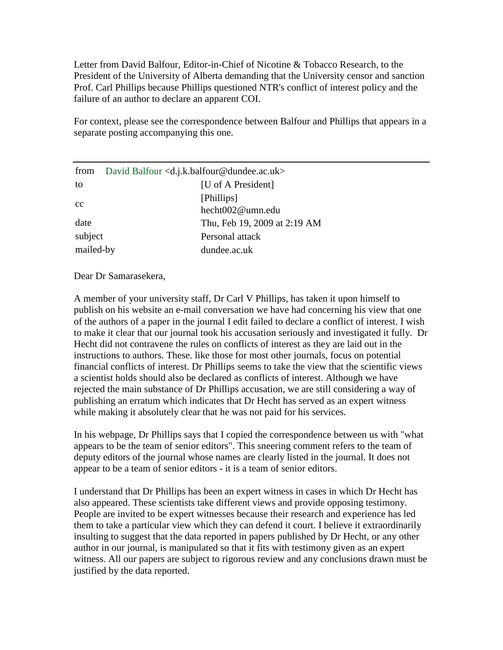Letter from David Balfour, Editor-in-Chief of Nicotine & Tobacco Research, to the President of the University of Alberta demanding that the University censor and sanction Prof. Carl Phillips because Phillips questioned NTR's conflict of interest policy and the failure of an author to declare an apparent COI.

For context, please see the correspondence between Balfour and Phillips that appears in a separate posting accompanying this one.

| from      | David Balfour <d.j.k.balfour@dundee.ac.uk></d.j.k.balfour@dundee.ac.uk> |
|-----------|-------------------------------------------------------------------------|
| to        | [U of A President]                                                      |
| cc        | [Phillips]<br>hecht002@umn.edu                                          |
| date      | Thu, Feb 19, 2009 at 2:19 AM                                            |
| subject   | Personal attack                                                         |
| mailed-by | dundee.ac.uk                                                            |

Dear Dr Samarasekera,

A member of your university staff, Dr Carl V Phillips, has taken it upon himself to publish on his website an e-mail conversation we have had concerning his view that one of the authors of a paper in the journal I edit failed to declare a conflict of interest. I wish to make it clear that our journal took his accusation seriously and investigated it fully. Dr Hecht did not contravene the rules on conflicts of interest as they are laid out in the instructions to authors. These. like those for most other journals, focus on potential financial conflicts of interest. Dr Phillips seems to take the view that the scientific views a scientist holds should also be declared as conflicts of interest. Although we have rejected the main substance of Dr Phillips accusation, we are still considering a way of publishing an erratum which indicates that Dr Hecht has served as an expert witness while making it absolutely clear that he was not paid for his services.

In his webpage, Dr Phillips says that I copied the correspondence between us with "what appears to be the team of senior editors". This sneering comment refers to the team of deputy editors of the journal whose names are clearly listed in the journal. It does not appear to be a team of senior editors - it is a team of senior editors.

I understand that Dr Phillips has been an expert witness in cases in which Dr Hecht has also appeared. These scientists take different views and provide opposing testimony. People are invited to be expert witnesses because their research and experience has led them to take a particular view which they can defend it court. I believe it extraordinarily insulting to suggest that the data reported in papers published by Dr Hecht, or any other author in our journal, is manipulated so that it fits with testimony given as an expert witness. All our papers are subject to rigorous review and any conclusions drawn must be justified by the data reported.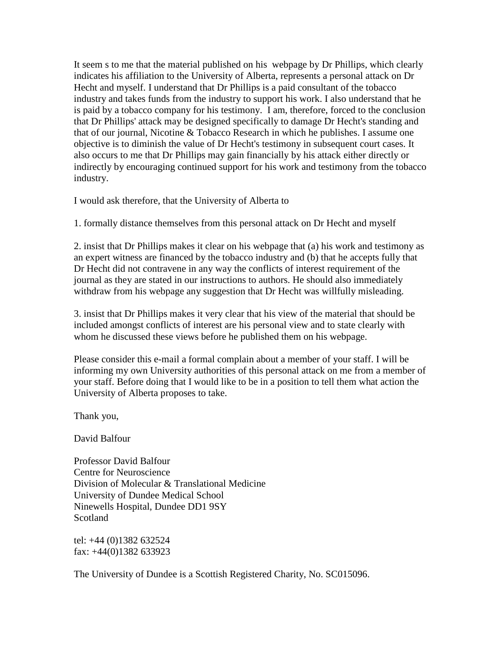It seem s to me that the material published on his webpage by Dr Phillips, which clearly indicates his affiliation to the University of Alberta, represents a personal attack on Dr Hecht and myself. I understand that Dr Phillips is a paid consultant of the tobacco industry and takes funds from the industry to support his work. I also understand that he is paid by a tobacco company for his testimony. I am, therefore, forced to the conclusion that Dr Phillips' attack may be designed specifically to damage Dr Hecht's standing and that of our journal, Nicotine & Tobacco Research in which he publishes. I assume one objective is to diminish the value of Dr Hecht's testimony in subsequent court cases. It also occurs to me that Dr Phillips may gain financially by his attack either directly or indirectly by encouraging continued support for his work and testimony from the tobacco industry.

I would ask therefore, that the University of Alberta to

1. formally distance themselves from this personal attack on Dr Hecht and myself

2. insist that Dr Phillips makes it clear on his webpage that (a) his work and testimony as an expert witness are financed by the tobacco industry and (b) that he accepts fully that Dr Hecht did not contravene in any way the conflicts of interest requirement of the journal as they are stated in our instructions to authors. He should also immediately withdraw from his webpage any suggestion that Dr Hecht was willfully misleading.

3. insist that Dr Phillips makes it very clear that his view of the material that should be included amongst conflicts of interest are his personal view and to state clearly with whom he discussed these views before he published them on his webpage.

Please consider this e-mail a formal complain about a member of your staff. I will be informing my own University authorities of this personal attack on me from a member of your staff. Before doing that I would like to be in a position to tell them what action the University of Alberta proposes to take.

Thank you,

David Balfour

Professor David Balfour Centre for Neuroscience Division of Molecular & Translational Medicine University of Dundee Medical School Ninewells Hospital, Dundee DD1 9SY Scotland

tel: +44 (0)1382 632524 fax: +44(0)1382 633923

The University of Dundee is a Scottish Registered Charity, No. SC015096.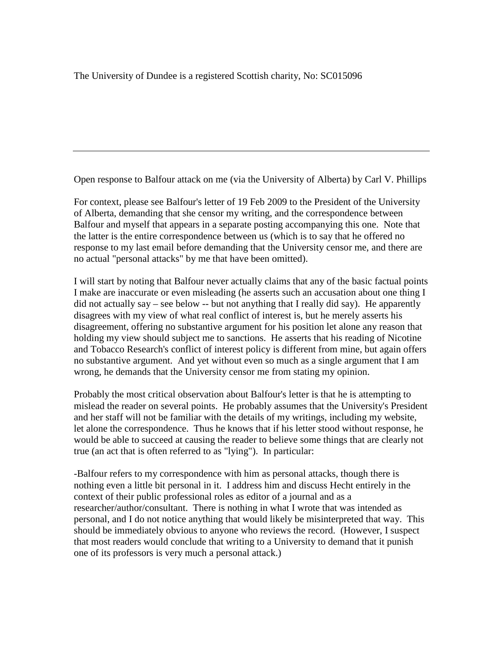Open response to Balfour attack on me (via the University of Alberta) by Carl V. Phillips

For context, please see Balfour's letter of 19 Feb 2009 to the President of the University of Alberta, demanding that she censor my writing, and the correspondence between Balfour and myself that appears in a separate posting accompanying this one. Note that the latter is the entire correspondence between us (which is to say that he offered no response to my last email before demanding that the University censor me, and there are no actual "personal attacks" by me that have been omitted).

I will start by noting that Balfour never actually claims that any of the basic factual points I make are inaccurate or even misleading (he asserts such an accusation about one thing I did not actually say – see below -- but not anything that I really did say). He apparently disagrees with my view of what real conflict of interest is, but he merely asserts his disagreement, offering no substantive argument for his position let alone any reason that holding my view should subject me to sanctions. He asserts that his reading of Nicotine and Tobacco Research's conflict of interest policy is different from mine, but again offers no substantive argument. And yet without even so much as a single argument that I am wrong, he demands that the University censor me from stating my opinion.

Probably the most critical observation about Balfour's letter is that he is attempting to mislead the reader on several points. He probably assumes that the University's President and her staff will not be familiar with the details of my writings, including my website, let alone the correspondence. Thus he knows that if his letter stood without response, he would be able to succeed at causing the reader to believe some things that are clearly not true (an act that is often referred to as "lying"). In particular:

-Balfour refers to my correspondence with him as personal attacks, though there is nothing even a little bit personal in it. I address him and discuss Hecht entirely in the context of their public professional roles as editor of a journal and as a researcher/author/consultant. There is nothing in what I wrote that was intended as personal, and I do not notice anything that would likely be misinterpreted that way. This should be immediately obvious to anyone who reviews the record. (However, I suspect that most readers would conclude that writing to a University to demand that it punish one of its professors is very much a personal attack.)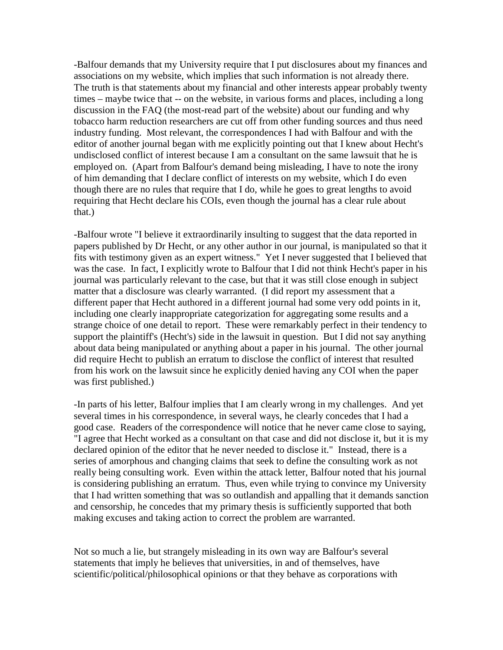-Balfour demands that my University require that I put disclosures about my finances and associations on my website, which implies that such information is not already there. The truth is that statements about my financial and other interests appear probably twenty times – maybe twice that -- on the website, in various forms and places, including a long discussion in the FAQ (the most-read part of the website) about our funding and why tobacco harm reduction researchers are cut off from other funding sources and thus need industry funding. Most relevant, the correspondences I had with Balfour and with the editor of another journal began with me explicitly pointing out that I knew about Hecht's undisclosed conflict of interest because I am a consultant on the same lawsuit that he is employed on. (Apart from Balfour's demand being misleading, I have to note the irony of him demanding that I declare conflict of interests on my website, which I do even though there are no rules that require that I do, while he goes to great lengths to avoid requiring that Hecht declare his COIs, even though the journal has a clear rule about that.)

-Balfour wrote "I believe it extraordinarily insulting to suggest that the data reported in papers published by Dr Hecht, or any other author in our journal, is manipulated so that it fits with testimony given as an expert witness." Yet I never suggested that I believed that was the case. In fact, I explicitly wrote to Balfour that I did not think Hecht's paper in his journal was particularly relevant to the case, but that it was still close enough in subject matter that a disclosure was clearly warranted. (I did report my assessment that a different paper that Hecht authored in a different journal had some very odd points in it, including one clearly inappropriate categorization for aggregating some results and a strange choice of one detail to report. These were remarkably perfect in their tendency to support the plaintiff's (Hecht's) side in the lawsuit in question. But I did not say anything about data being manipulated or anything about a paper in his journal. The other journal did require Hecht to publish an erratum to disclose the conflict of interest that resulted from his work on the lawsuit since he explicitly denied having any COI when the paper was first published.)

-In parts of his letter, Balfour implies that I am clearly wrong in my challenges. And yet several times in his correspondence, in several ways, he clearly concedes that I had a good case. Readers of the correspondence will notice that he never came close to saying, "I agree that Hecht worked as a consultant on that case and did not disclose it, but it is my declared opinion of the editor that he never needed to disclose it." Instead, there is a series of amorphous and changing claims that seek to define the consulting work as not really being consulting work. Even within the attack letter, Balfour noted that his journal is considering publishing an erratum. Thus, even while trying to convince my University that I had written something that was so outlandish and appalling that it demands sanction and censorship, he concedes that my primary thesis is sufficiently supported that both making excuses and taking action to correct the problem are warranted.

Not so much a lie, but strangely misleading in its own way are Balfour's several statements that imply he believes that universities, in and of themselves, have scientific/political/philosophical opinions or that they behave as corporations with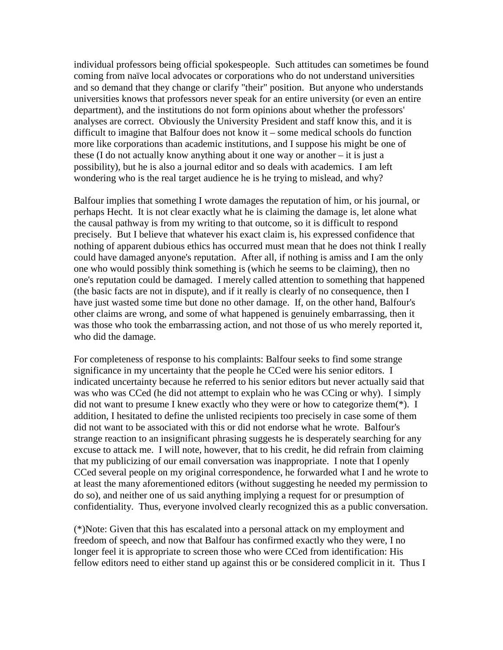individual professors being official spokespeople. Such attitudes can sometimes be found coming from naïve local advocates or corporations who do not understand universities and so demand that they change or clarify "their" position. But anyone who understands universities knows that professors never speak for an entire university (or even an entire department), and the institutions do not form opinions about whether the professors' analyses are correct. Obviously the University President and staff know this, and it is difficult to imagine that Balfour does not know it – some medical schools do function more like corporations than academic institutions, and I suppose his might be one of these (I do not actually know anything about it one way or another – it is just a possibility), but he is also a journal editor and so deals with academics. I am left wondering who is the real target audience he is he trying to mislead, and why?

Balfour implies that something I wrote damages the reputation of him, or his journal, or perhaps Hecht. It is not clear exactly what he is claiming the damage is, let alone what the causal pathway is from my writing to that outcome, so it is difficult to respond precisely. But I believe that whatever his exact claim is, his expressed confidence that nothing of apparent dubious ethics has occurred must mean that he does not think I really could have damaged anyone's reputation. After all, if nothing is amiss and I am the only one who would possibly think something is (which he seems to be claiming), then no one's reputation could be damaged. I merely called attention to something that happened (the basic facts are not in dispute), and if it really is clearly of no consequence, then I have just wasted some time but done no other damage. If, on the other hand, Balfour's other claims are wrong, and some of what happened is genuinely embarrassing, then it was those who took the embarrassing action, and not those of us who merely reported it, who did the damage.

For completeness of response to his complaints: Balfour seeks to find some strange significance in my uncertainty that the people he CCed were his senior editors. I indicated uncertainty because he referred to his senior editors but never actually said that was who was CCed (he did not attempt to explain who he was CCing or why). I simply did not want to presume I knew exactly who they were or how to categorize them(\*). I addition, I hesitated to define the unlisted recipients too precisely in case some of them did not want to be associated with this or did not endorse what he wrote. Balfour's strange reaction to an insignificant phrasing suggests he is desperately searching for any excuse to attack me. I will note, however, that to his credit, he did refrain from claiming that my publicizing of our email conversation was inappropriate. I note that I openly CCed several people on my original correspondence, he forwarded what I and he wrote to at least the many aforementioned editors (without suggesting he needed my permission to do so), and neither one of us said anything implying a request for or presumption of confidentiality. Thus, everyone involved clearly recognized this as a public conversation.

(\*)Note: Given that this has escalated into a personal attack on my employment and freedom of speech, and now that Balfour has confirmed exactly who they were, I no longer feel it is appropriate to screen those who were CCed from identification: His fellow editors need to either stand up against this or be considered complicit in it. Thus I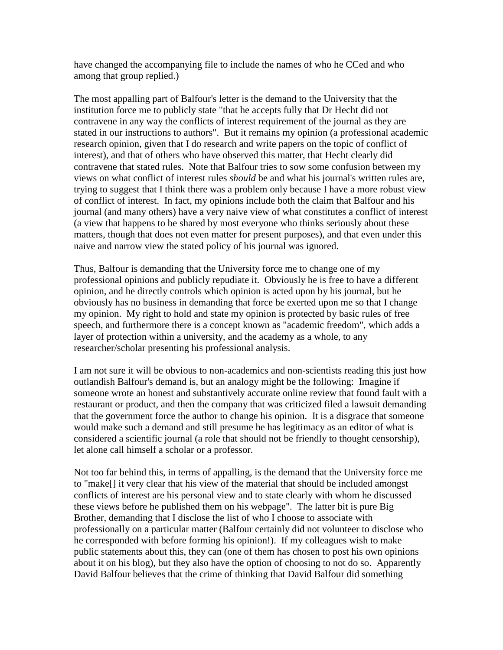have changed the accompanying file to include the names of who he CCed and who among that group replied.)

The most appalling part of Balfour's letter is the demand to the University that the institution force me to publicly state "that he accepts fully that Dr Hecht did not contravene in any way the conflicts of interest requirement of the journal as they are stated in our instructions to authors". But it remains my opinion (a professional academic research opinion, given that I do research and write papers on the topic of conflict of interest), and that of others who have observed this matter, that Hecht clearly did contravene that stated rules. Note that Balfour tries to sow some confusion between my views on what conflict of interest rules *should* be and what his journal's written rules are, trying to suggest that I think there was a problem only because I have a more robust view of conflict of interest. In fact, my opinions include both the claim that Balfour and his journal (and many others) have a very naive view of what constitutes a conflict of interest (a view that happens to be shared by most everyone who thinks seriously about these matters, though that does not even matter for present purposes), and that even under this naive and narrow view the stated policy of his journal was ignored.

Thus, Balfour is demanding that the University force me to change one of my professional opinions and publicly repudiate it. Obviously he is free to have a different opinion, and he directly controls which opinion is acted upon by his journal, but he obviously has no business in demanding that force be exerted upon me so that I change my opinion. My right to hold and state my opinion is protected by basic rules of free speech, and furthermore there is a concept known as "academic freedom", which adds a layer of protection within a university, and the academy as a whole, to any researcher/scholar presenting his professional analysis.

I am not sure it will be obvious to non-academics and non-scientists reading this just how outlandish Balfour's demand is, but an analogy might be the following: Imagine if someone wrote an honest and substantively accurate online review that found fault with a restaurant or product, and then the company that was criticized filed a lawsuit demanding that the government force the author to change his opinion. It is a disgrace that someone would make such a demand and still presume he has legitimacy as an editor of what is considered a scientific journal (a role that should not be friendly to thought censorship), let alone call himself a scholar or a professor.

Not too far behind this, in terms of appalling, is the demand that the University force me to "make[] it very clear that his view of the material that should be included amongst conflicts of interest are his personal view and to state clearly with whom he discussed these views before he published them on his webpage". The latter bit is pure Big Brother, demanding that I disclose the list of who I choose to associate with professionally on a particular matter (Balfour certainly did not volunteer to disclose who he corresponded with before forming his opinion!). If my colleagues wish to make public statements about this, they can (one of them has chosen to post his own opinions about it on his blog), but they also have the option of choosing to not do so. Apparently David Balfour believes that the crime of thinking that David Balfour did something